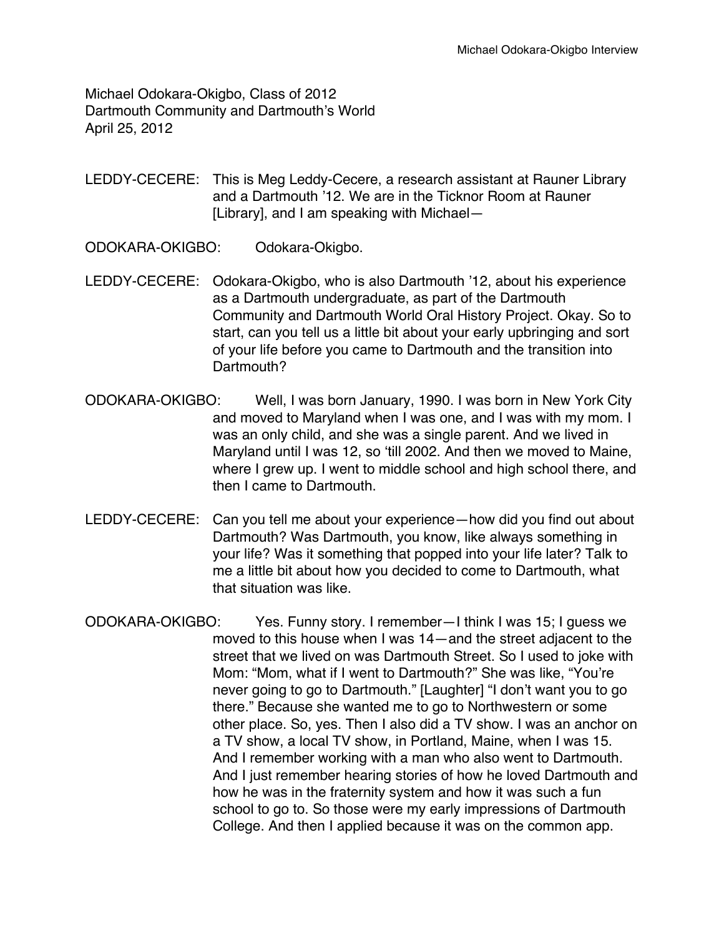Michael Odokara-Okigbo, Class of 2012 Dartmouth Community and Dartmouth's World April 25, 2012

LEDDY-CECERE: This is Meg Leddy-Cecere, a research assistant at Rauner Library and a Dartmouth '12. We are in the Ticknor Room at Rauner [Library], and I am speaking with Michael—

ODOKARA-OKIGBO: Odokara-Okigbo.

- LEDDY-CECERE: Odokara-Okigbo, who is also Dartmouth '12, about his experience as a Dartmouth undergraduate, as part of the Dartmouth Community and Dartmouth World Oral History Project. Okay. So to start, can you tell us a little bit about your early upbringing and sort of your life before you came to Dartmouth and the transition into Dartmouth?
- ODOKARA-OKIGBO: Well, I was born January, 1990. I was born in New York City and moved to Maryland when I was one, and I was with my mom. I was an only child, and she was a single parent. And we lived in Maryland until I was 12, so ʻtill 2002. And then we moved to Maine, where I grew up. I went to middle school and high school there, and then I came to Dartmouth.
- LEDDY-CECERE: Can you tell me about your experience—how did you find out about Dartmouth? Was Dartmouth, you know, like always something in your life? Was it something that popped into your life later? Talk to me a little bit about how you decided to come to Dartmouth, what that situation was like.
- ODOKARA-OKIGBO: Yes. Funny story. I remember—I think I was 15; I guess we moved to this house when I was 14—and the street adjacent to the street that we lived on was Dartmouth Street. So I used to joke with Mom: "Mom, what if I went to Dartmouth?" She was like, "You're never going to go to Dartmouth." [Laughter] "I don't want you to go there." Because she wanted me to go to Northwestern or some other place. So, yes. Then I also did a TV show. I was an anchor on a TV show, a local TV show, in Portland, Maine, when I was 15. And I remember working with a man who also went to Dartmouth. And I just remember hearing stories of how he loved Dartmouth and how he was in the fraternity system and how it was such a fun school to go to. So those were my early impressions of Dartmouth College. And then I applied because it was on the common app.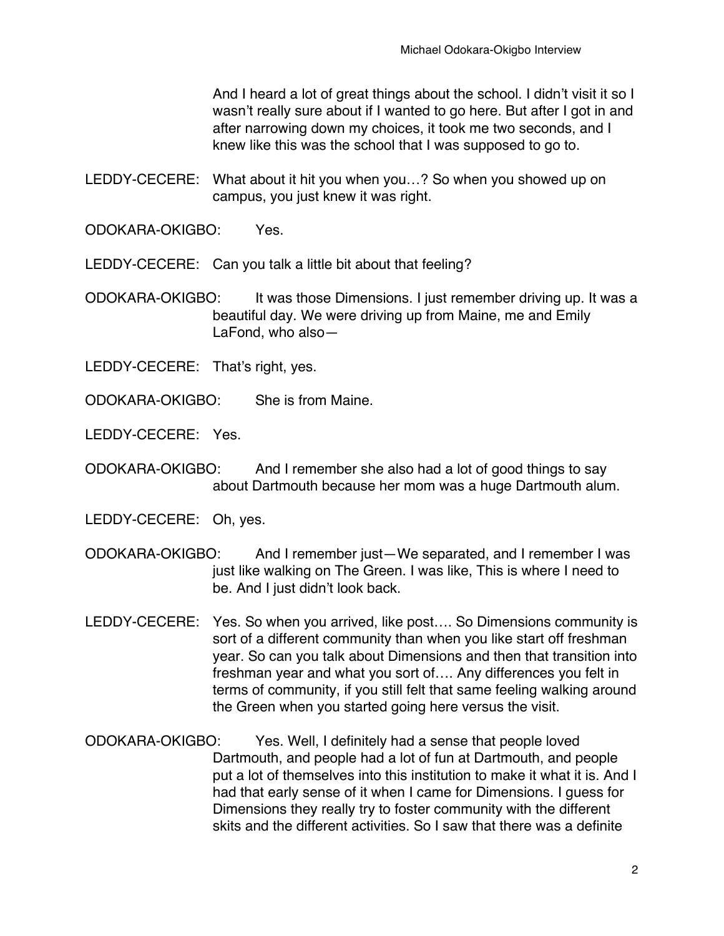And I heard a lot of great things about the school. I didn't visit it so I wasn't really sure about if I wanted to go here. But after I got in and after narrowing down my choices, it took me two seconds, and I knew like this was the school that I was supposed to go to.

LEDDY-CECERE: What about it hit you when you…? So when you showed up on campus, you just knew it was right.

ODOKARA-OKIGBO: Yes.

LEDDY-CECERE: Can you talk a little bit about that feeling?

ODOKARA-OKIGBO: It was those Dimensions. I just remember driving up. It was a beautiful day. We were driving up from Maine, me and Emily LaFond, who also—

LEDDY-CECERE: That's right, yes.

ODOKARA-OKIGBO: She is from Maine.

LEDDY-CECERE: Yes.

ODOKARA-OKIGBO: And I remember she also had a lot of good things to say about Dartmouth because her mom was a huge Dartmouth alum.

LEDDY-CECERE: Oh, yes.

- ODOKARA-OKIGBO: And I remember just—We separated, and I remember I was just like walking on The Green. I was like, This is where I need to be. And I just didn't look back.
- LEDDY-CECERE: Yes. So when you arrived, like post…. So Dimensions community is sort of a different community than when you like start off freshman year. So can you talk about Dimensions and then that transition into freshman year and what you sort of…. Any differences you felt in terms of community, if you still felt that same feeling walking around the Green when you started going here versus the visit.
- ODOKARA-OKIGBO: Yes. Well, I definitely had a sense that people loved Dartmouth, and people had a lot of fun at Dartmouth, and people put a lot of themselves into this institution to make it what it is. And I had that early sense of it when I came for Dimensions. I guess for Dimensions they really try to foster community with the different skits and the different activities. So I saw that there was a definite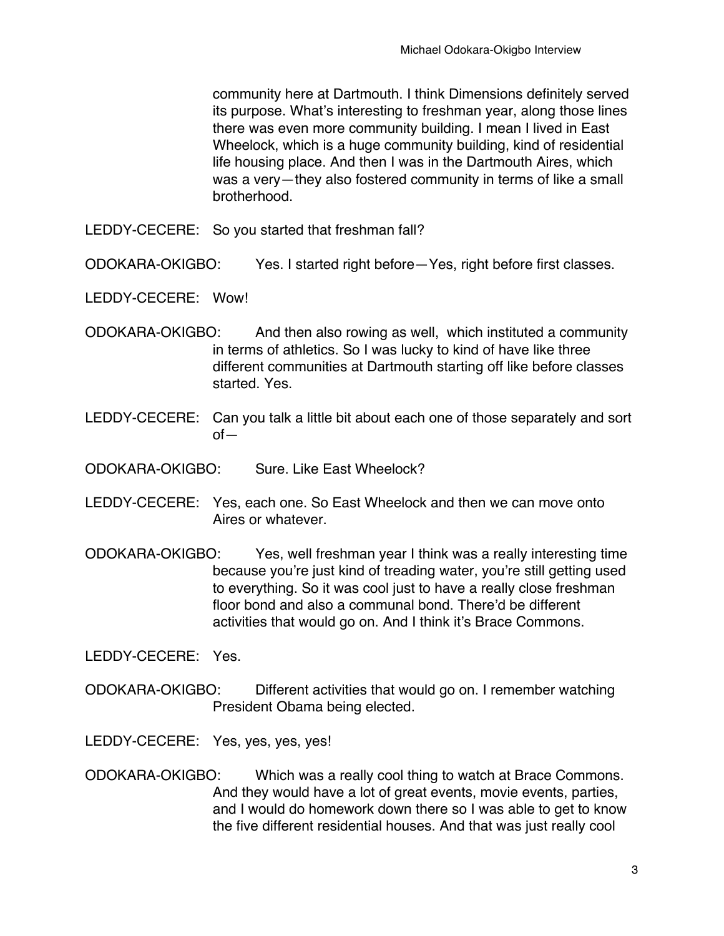community here at Dartmouth. I think Dimensions definitely served its purpose. What's interesting to freshman year, along those lines there was even more community building. I mean I lived in East Wheelock, which is a huge community building, kind of residential life housing place. And then I was in the Dartmouth Aires, which was a very—they also fostered community in terms of like a small brotherhood.

LEDDY-CECERE: So you started that freshman fall?

ODOKARA-OKIGBO: Yes. I started right before—Yes, right before first classes.

LEDDY-CECERE: Wow!

- ODOKARA-OKIGBO: And then also rowing as well, which instituted a community in terms of athletics. So I was lucky to kind of have like three different communities at Dartmouth starting off like before classes started. Yes.
- LEDDY-CECERE: Can you talk a little bit about each one of those separately and sort of—
- ODOKARA-OKIGBO: Sure. Like East Wheelock?
- LEDDY-CECERE: Yes, each one. So East Wheelock and then we can move onto Aires or whatever.
- ODOKARA-OKIGBO: Yes, well freshman year I think was a really interesting time because you're just kind of treading water, you're still getting used to everything. So it was cool just to have a really close freshman floor bond and also a communal bond. There'd be different activities that would go on. And I think it's Brace Commons.

LEDDY-CECERE: Yes.

- ODOKARA-OKIGBO: Different activities that would go on. I remember watching President Obama being elected.
- LEDDY-CECERE: Yes, yes, yes, yes!
- ODOKARA-OKIGBO: Which was a really cool thing to watch at Brace Commons. And they would have a lot of great events, movie events, parties, and I would do homework down there so I was able to get to know the five different residential houses. And that was just really cool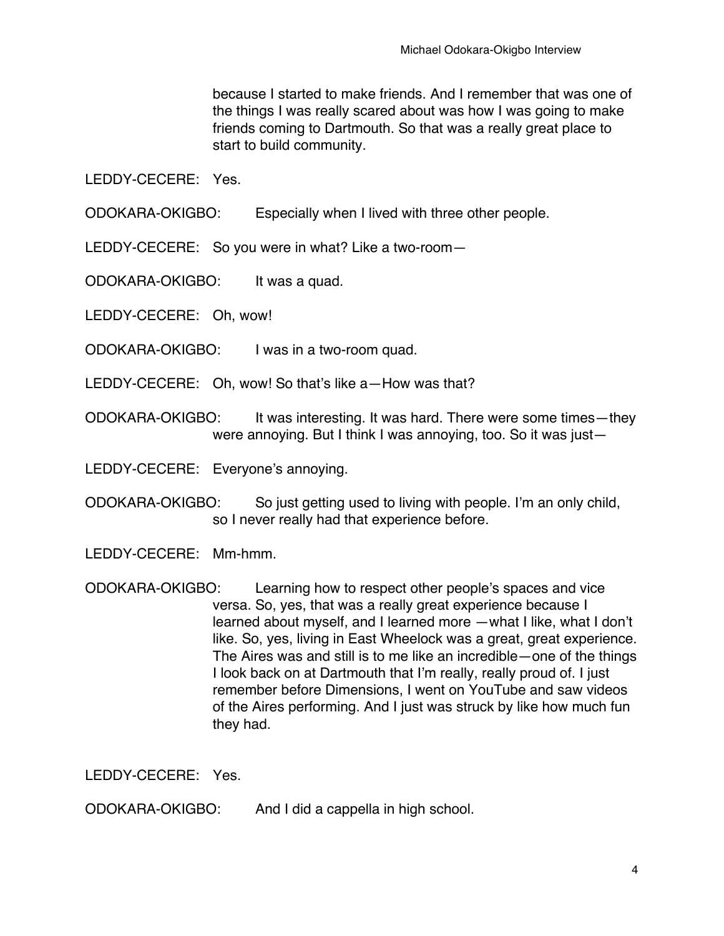because I started to make friends. And I remember that was one of the things I was really scared about was how I was going to make friends coming to Dartmouth. So that was a really great place to start to build community.

LEDDY-CECERE: Yes.

ODOKARA-OKIGBO: Especially when I lived with three other people.

LEDDY-CECERE: So you were in what? Like a two-room—

ODOKARA-OKIGBO: It was a quad.

LEDDY-CECERE: Oh, wow!

ODOKARA-OKIGBO: I was in a two-room quad.

LEDDY-CECERE: Oh, wow! So that's like a—How was that?

ODOKARA-OKIGBO: It was interesting. It was hard. There were some times—they were annoying. But I think I was annoying, too. So it was just—

LEDDY-CECERE: Everyone's annoying.

ODOKARA-OKIGBO: So just getting used to living with people. I'm an only child, so I never really had that experience before.

LEDDY-CECERE: Mm-hmm.

ODOKARA-OKIGBO: Learning how to respect other people's spaces and vice versa. So, yes, that was a really great experience because I learned about myself, and I learned more —what I like, what I don't like. So, yes, living in East Wheelock was a great, great experience. The Aires was and still is to me like an incredible—one of the things I look back on at Dartmouth that I'm really, really proud of. I just remember before Dimensions, I went on YouTube and saw videos of the Aires performing. And I just was struck by like how much fun they had.

LEDDY-CECERE: Yes.

ODOKARA-OKIGBO: And I did a cappella in high school.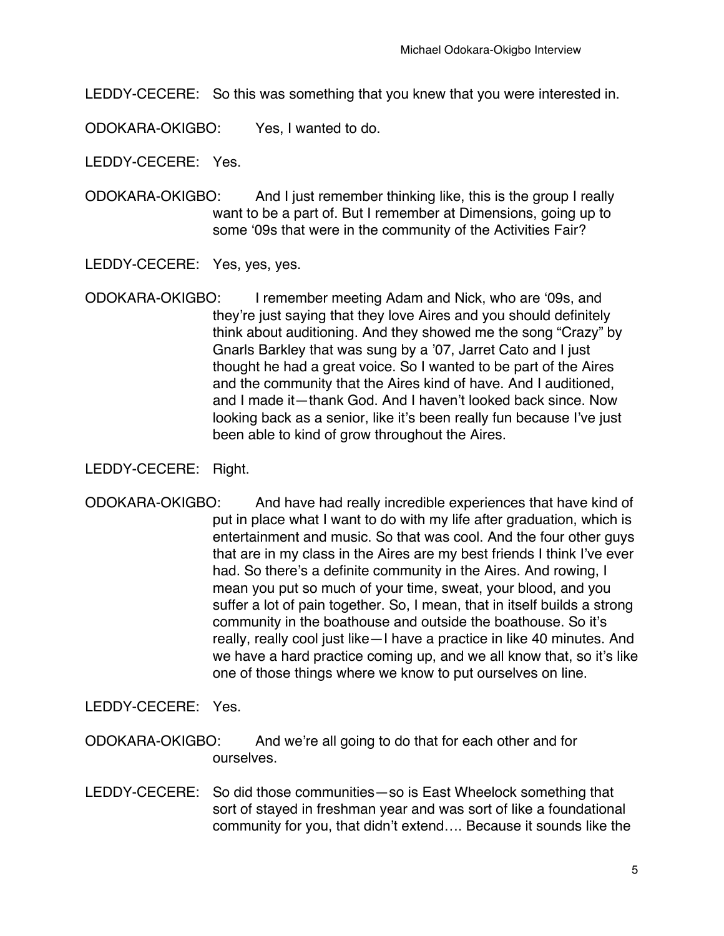LEDDY-CECERE: So this was something that you knew that you were interested in.

ODOKARA-OKIGBO: Yes, I wanted to do.

LEDDY-CECERE: Yes.

ODOKARA-OKIGBO: And I just remember thinking like, this is the group I really want to be a part of. But I remember at Dimensions, going up to some ʻ09s that were in the community of the Activities Fair?

LEDDY-CECERE: Yes, yes, yes.

ODOKARA-OKIGBO: I remember meeting Adam and Nick, who are ʻ09s, and they're just saying that they love Aires and you should definitely think about auditioning. And they showed me the song "Crazy" by Gnarls Barkley that was sung by a '07, Jarret Cato and I just thought he had a great voice. So I wanted to be part of the Aires and the community that the Aires kind of have. And I auditioned, and I made it—thank God. And I haven't looked back since. Now looking back as a senior, like it's been really fun because I've just been able to kind of grow throughout the Aires.

LEDDY-CECERE: Right.

ODOKARA-OKIGBO: And have had really incredible experiences that have kind of put in place what I want to do with my life after graduation, which is entertainment and music. So that was cool. And the four other guys that are in my class in the Aires are my best friends I think I've ever had. So there's a definite community in the Aires. And rowing, I mean you put so much of your time, sweat, your blood, and you suffer a lot of pain together. So, I mean, that in itself builds a strong community in the boathouse and outside the boathouse. So it's really, really cool just like—I have a practice in like 40 minutes. And we have a hard practice coming up, and we all know that, so it's like one of those things where we know to put ourselves on line.

LEDDY-CECERE: Yes.

- ODOKARA-OKIGBO: And we're all going to do that for each other and for ourselves.
- LEDDY-CECERE: So did those communities—so is East Wheelock something that sort of stayed in freshman year and was sort of like a foundational community for you, that didn't extend…. Because it sounds like the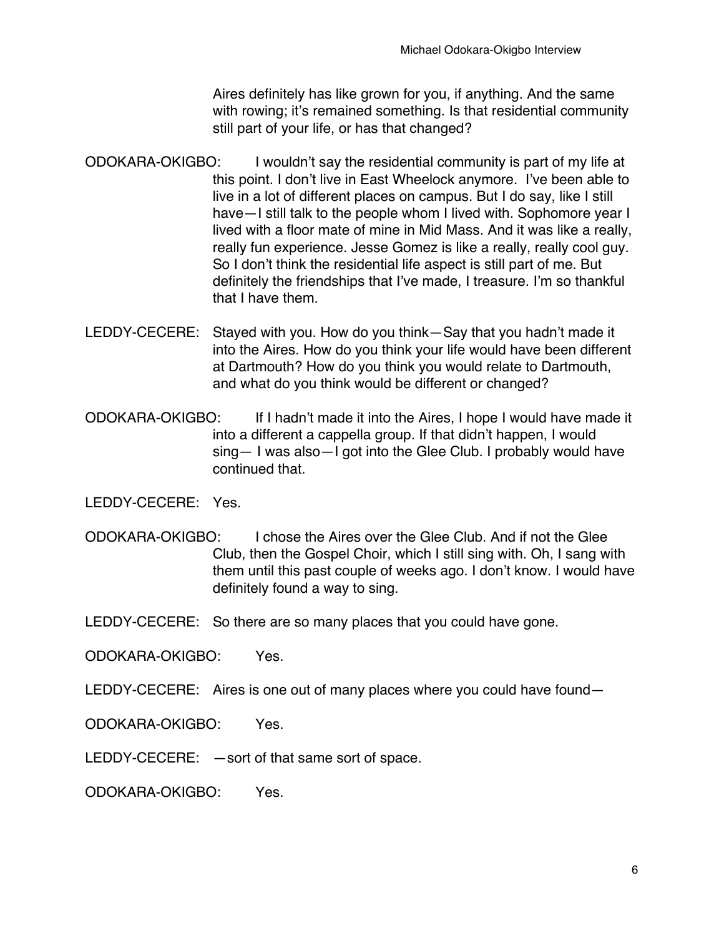Aires definitely has like grown for you, if anything. And the same with rowing: it's remained something. Is that residential community still part of your life, or has that changed?

- ODOKARA-OKIGBO: I wouldn't say the residential community is part of my life at this point. I don't live in East Wheelock anymore. I've been able to live in a lot of different places on campus. But I do say, like I still have—I still talk to the people whom I lived with. Sophomore year I lived with a floor mate of mine in Mid Mass. And it was like a really, really fun experience. Jesse Gomez is like a really, really cool guy. So I don't think the residential life aspect is still part of me. But definitely the friendships that I've made, I treasure. I'm so thankful that I have them.
- LEDDY-CECERE: Stayed with you. How do you think—Say that you hadn't made it into the Aires. How do you think your life would have been different at Dartmouth? How do you think you would relate to Dartmouth, and what do you think would be different or changed?
- ODOKARA-OKIGBO: If I hadn't made it into the Aires, I hope I would have made it into a different a cappella group. If that didn't happen, I would sing— I was also—I got into the Glee Club. I probably would have continued that.

LEDDY-CECERE: Yes.

ODOKARA-OKIGBO: I chose the Aires over the Glee Club. And if not the Glee Club, then the Gospel Choir, which I still sing with. Oh, I sang with them until this past couple of weeks ago. I don't know. I would have definitely found a way to sing.

LEDDY-CECERE: So there are so many places that you could have gone.

ODOKARA-OKIGBO: Yes.

LEDDY-CECERE: Aires is one out of many places where you could have found—

ODOKARA-OKIGBO: Yes.

LEDDY-CECERE: —sort of that same sort of space.

ODOKARA-OKIGBO: Yes.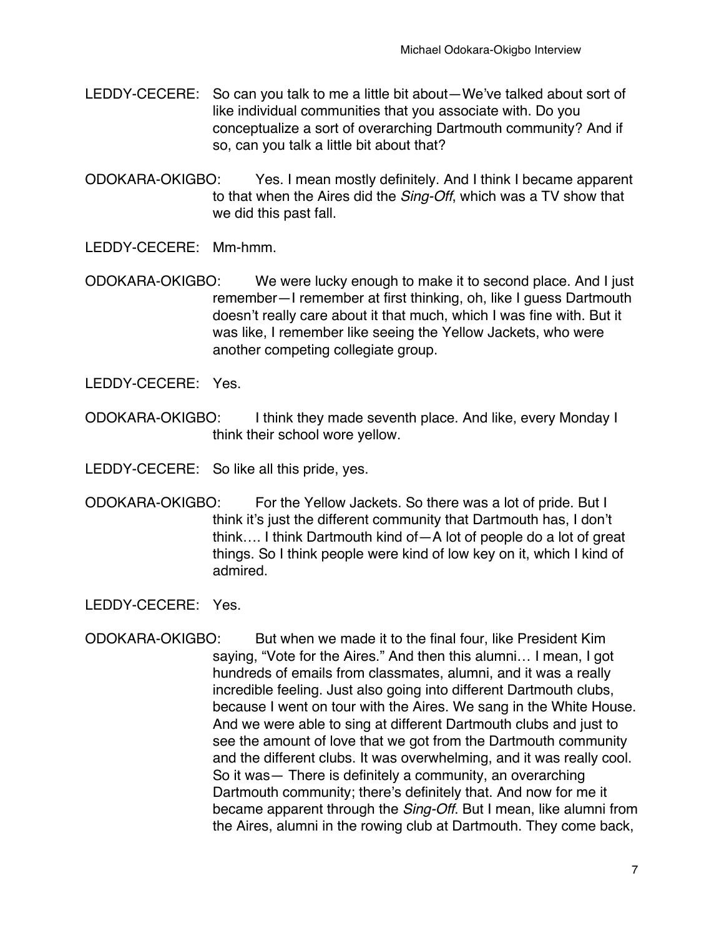- LEDDY-CECERE: So can you talk to me a little bit about—We've talked about sort of like individual communities that you associate with. Do you conceptualize a sort of overarching Dartmouth community? And if so, can you talk a little bit about that?
- ODOKARA-OKIGBO: Yes. I mean mostly definitely. And I think I became apparent to that when the Aires did the *Sing-Off*, which was a TV show that we did this past fall.
- LEDDY-CECERE: Mm-hmm.
- ODOKARA-OKIGBO: We were lucky enough to make it to second place. And I just remember—I remember at first thinking, oh, like I guess Dartmouth doesn't really care about it that much, which I was fine with. But it was like, I remember like seeing the Yellow Jackets, who were another competing collegiate group.

LEDDY-CECERE: Yes.

- ODOKARA-OKIGBO: I think they made seventh place. And like, every Monday I think their school wore yellow.
- LEDDY-CECERE: So like all this pride, yes.
- ODOKARA-OKIGBO: For the Yellow Jackets. So there was a lot of pride. But I think it's just the different community that Dartmouth has, I don't think…. I think Dartmouth kind of—A lot of people do a lot of great things. So I think people were kind of low key on it, which I kind of admired.

LEDDY-CECERE: Yes.

ODOKARA-OKIGBO: But when we made it to the final four, like President Kim saying, "Vote for the Aires." And then this alumni… I mean, I got hundreds of emails from classmates, alumni, and it was a really incredible feeling. Just also going into different Dartmouth clubs, because I went on tour with the Aires. We sang in the White House. And we were able to sing at different Dartmouth clubs and just to see the amount of love that we got from the Dartmouth community and the different clubs. It was overwhelming, and it was really cool. So it was— There is definitely a community, an overarching Dartmouth community; there's definitely that. And now for me it became apparent through the *Sing-Off*. But I mean, like alumni from the Aires, alumni in the rowing club at Dartmouth. They come back,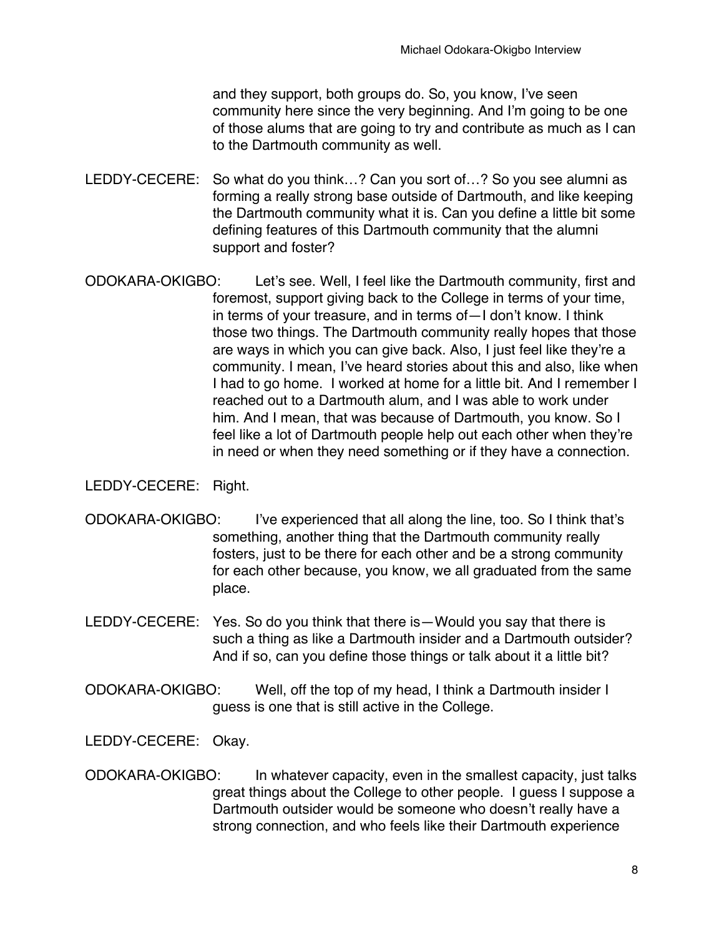and they support, both groups do. So, you know, I've seen community here since the very beginning. And I'm going to be one of those alums that are going to try and contribute as much as I can to the Dartmouth community as well.

- LEDDY-CECERE: So what do you think...? Can you sort of...? So you see alumni as forming a really strong base outside of Dartmouth, and like keeping the Dartmouth community what it is. Can you define a little bit some defining features of this Dartmouth community that the alumni support and foster?
- ODOKARA-OKIGBO: Let's see. Well, I feel like the Dartmouth community, first and foremost, support giving back to the College in terms of your time, in terms of your treasure, and in terms of—I don't know. I think those two things. The Dartmouth community really hopes that those are ways in which you can give back. Also, I just feel like they're a community. I mean, I've heard stories about this and also, like when I had to go home. I worked at home for a little bit. And I remember I reached out to a Dartmouth alum, and I was able to work under him. And I mean, that was because of Dartmouth, you know. So I feel like a lot of Dartmouth people help out each other when they're in need or when they need something or if they have a connection.

## LEDDY-CECERE: Right.

- ODOKARA-OKIGBO: I've experienced that all along the line, too. So I think that's something, another thing that the Dartmouth community really fosters, just to be there for each other and be a strong community for each other because, you know, we all graduated from the same place.
- LEDDY-CECERE: Yes. So do you think that there is—Would you say that there is such a thing as like a Dartmouth insider and a Dartmouth outsider? And if so, can you define those things or talk about it a little bit?
- ODOKARA-OKIGBO: Well, off the top of my head, I think a Dartmouth insider I guess is one that is still active in the College.
- LEDDY-CECERE: Okay.
- ODOKARA-OKIGBO: In whatever capacity, even in the smallest capacity, just talks great things about the College to other people. I guess I suppose a Dartmouth outsider would be someone who doesn't really have a strong connection, and who feels like their Dartmouth experience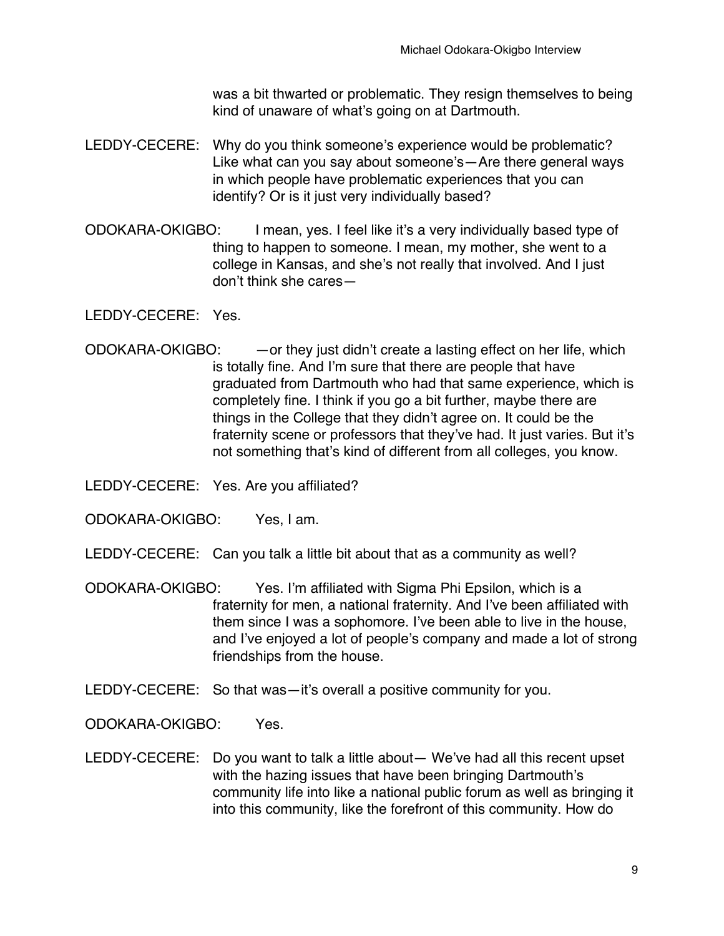was a bit thwarted or problematic. They resign themselves to being kind of unaware of what's going on at Dartmouth.

- LEDDY-CECERE: Why do you think someone's experience would be problematic? Like what can you say about someone's—Are there general ways in which people have problematic experiences that you can identify? Or is it just very individually based?
- ODOKARA-OKIGBO: I mean, yes. I feel like it's a very individually based type of thing to happen to someone. I mean, my mother, she went to a college in Kansas, and she's not really that involved. And I just don't think she cares—

LEDDY-CECERE: Yes.

- ODOKARA-OKIGBO: —or they just didn't create a lasting effect on her life, which is totally fine. And I'm sure that there are people that have graduated from Dartmouth who had that same experience, which is completely fine. I think if you go a bit further, maybe there are things in the College that they didn't agree on. It could be the fraternity scene or professors that they've had. It just varies. But it's not something that's kind of different from all colleges, you know.
- LEDDY-CECERE: Yes. Are you affiliated?

ODOKARA-OKIGBO: Yes, I am.

- LEDDY-CECERE: Can you talk a little bit about that as a community as well?
- ODOKARA-OKIGBO: Yes. I'm affiliated with Sigma Phi Epsilon, which is a fraternity for men, a national fraternity. And I've been affiliated with them since I was a sophomore. I've been able to live in the house, and I've enjoyed a lot of people's company and made a lot of strong friendships from the house.
- LEDDY-CECERE: So that was—it's overall a positive community for you.

ODOKARA-OKIGBO: Yes.

LEDDY-CECERE: Do you want to talk a little about— We've had all this recent upset with the hazing issues that have been bringing Dartmouth's community life into like a national public forum as well as bringing it into this community, like the forefront of this community. How do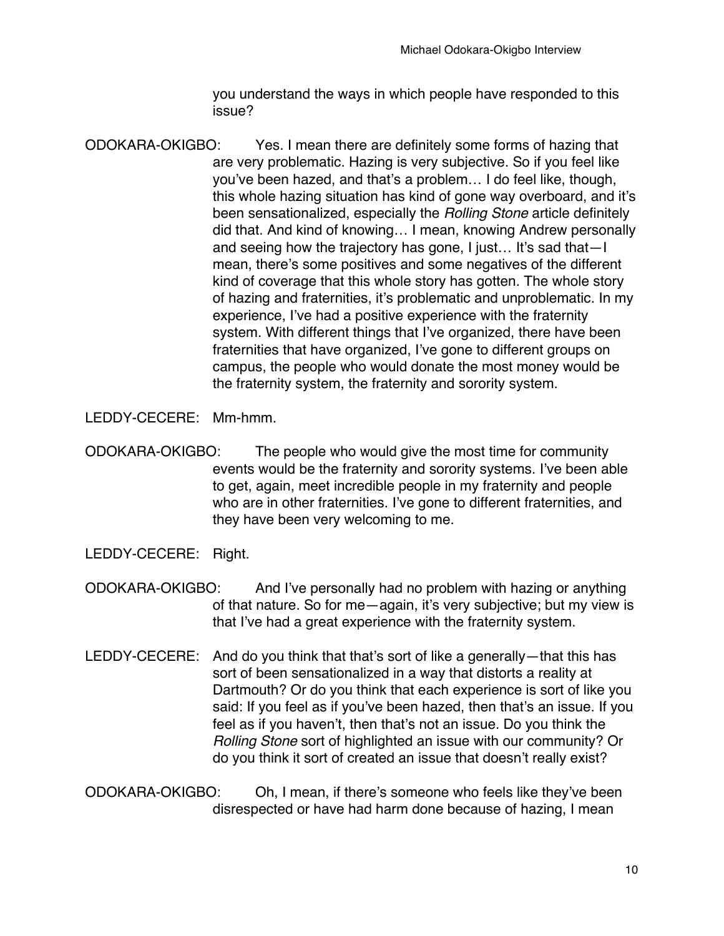you understand the ways in which people have responded to this issue?

ODOKARA-OKIGBO: Yes. I mean there are definitely some forms of hazing that are very problematic. Hazing is very subjective. So if you feel like you've been hazed, and that's a problem… I do feel like, though, this whole hazing situation has kind of gone way overboard, and it's been sensationalized, especially the *Rolling Stone* article definitely did that. And kind of knowing… I mean, knowing Andrew personally and seeing how the trajectory has gone, I just… It's sad that—I mean, there's some positives and some negatives of the different kind of coverage that this whole story has gotten. The whole story of hazing and fraternities, it's problematic and unproblematic. In my experience, I've had a positive experience with the fraternity system. With different things that I've organized, there have been fraternities that have organized, I've gone to different groups on campus, the people who would donate the most money would be the fraternity system, the fraternity and sorority system.

LEDDY-CECERE: Mm-hmm.

- ODOKARA-OKIGBO: The people who would give the most time for community events would be the fraternity and sorority systems. I've been able to get, again, meet incredible people in my fraternity and people who are in other fraternities. I've gone to different fraternities, and they have been very welcoming to me.
- LEDDY-CECERE: Right.
- ODOKARA-OKIGBO: And I've personally had no problem with hazing or anything of that nature. So for me—again, it's very subjective; but my view is that I've had a great experience with the fraternity system.
- LEDDY-CECERE: And do you think that that's sort of like a generally—that this has sort of been sensationalized in a way that distorts a reality at Dartmouth? Or do you think that each experience is sort of like you said: If you feel as if you've been hazed, then that's an issue. If you feel as if you haven't, then that's not an issue. Do you think the *Rolling Stone* sort of highlighted an issue with our community? Or do you think it sort of created an issue that doesn't really exist?

ODOKARA-OKIGBO: Oh, I mean, if there's someone who feels like they've been disrespected or have had harm done because of hazing, I mean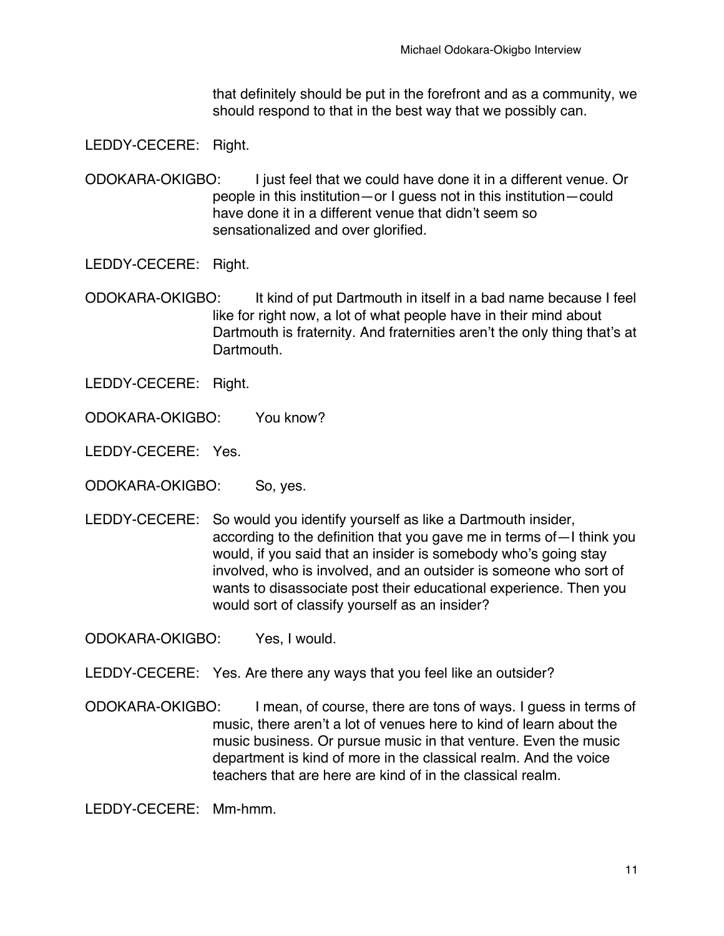that definitely should be put in the forefront and as a community, we should respond to that in the best way that we possibly can.

LEDDY-CECERE: Right.

ODOKARA-OKIGBO: I just feel that we could have done it in a different venue. Or people in this institution—or I guess not in this institution—could have done it in a different venue that didn't seem so sensationalized and over glorified.

LEDDY-CECERE: Right.

ODOKARA-OKIGBO: It kind of put Dartmouth in itself in a bad name because I feel like for right now, a lot of what people have in their mind about Dartmouth is fraternity. And fraternities aren't the only thing that's at Dartmouth.

- LEDDY-CECERE: Right.
- ODOKARA-OKIGBO: You know?
- LEDDY-CECERE: Yes.
- ODOKARA-OKIGBO: So, yes.
- LEDDY-CECERE: So would you identify yourself as like a Dartmouth insider, according to the definition that you gave me in terms of—I think you would, if you said that an insider is somebody who's going stay involved, who is involved, and an outsider is someone who sort of wants to disassociate post their educational experience. Then you would sort of classify yourself as an insider?

ODOKARA-OKIGBO: Yes, I would.

- LEDDY-CECERE: Yes. Are there any ways that you feel like an outsider?
- ODOKARA-OKIGBO: I mean, of course, there are tons of ways. I guess in terms of music, there aren't a lot of venues here to kind of learn about the music business. Or pursue music in that venture. Even the music department is kind of more in the classical realm. And the voice teachers that are here are kind of in the classical realm.

LEDDY-CECERE: Mm-hmm.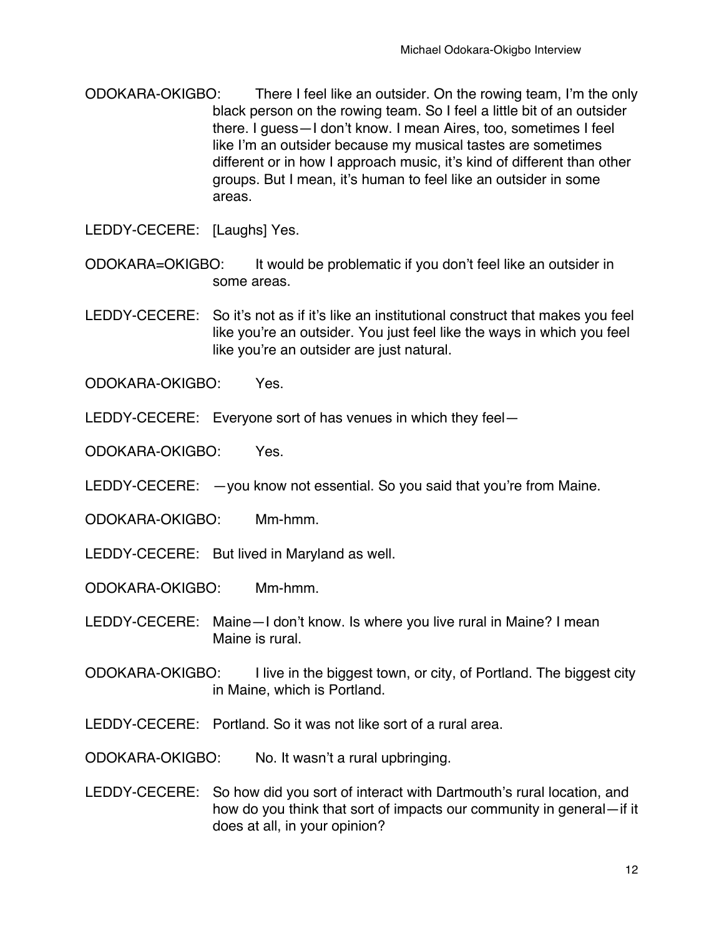ODOKARA-OKIGBO: There I feel like an outsider. On the rowing team, I'm the only black person on the rowing team. So I feel a little bit of an outsider there. I guess—I don't know. I mean Aires, too, sometimes I feel like I'm an outsider because my musical tastes are sometimes different or in how I approach music, it's kind of different than other groups. But I mean, it's human to feel like an outsider in some areas.

LEDDY-CECERE: [Laughs] Yes.

ODOKARA=OKIGBO: It would be problematic if you don't feel like an outsider in some areas.

LEDDY-CECERE: So it's not as if it's like an institutional construct that makes you feel like you're an outsider. You just feel like the ways in which you feel like you're an outsider are just natural.

ODOKARA-OKIGBO: Yes.

LEDDY-CECERE: Everyone sort of has venues in which they feel—

ODOKARA-OKIGBO: Yes.

LEDDY-CECERE: —you know not essential. So you said that you're from Maine.

ODOKARA-OKIGBO: Mm-hmm.

LEDDY-CECERE: But lived in Maryland as well.

ODOKARA-OKIGBO: Mm-hmm.

- LEDDY-CECERE: Maine—I don't know. Is where you live rural in Maine? I mean Maine is rural.
- ODOKARA-OKIGBO: I live in the biggest town, or city, of Portland. The biggest city in Maine, which is Portland.
- LEDDY-CECERE: Portland. So it was not like sort of a rural area.

ODOKARA-OKIGBO: No. It wasn't a rural upbringing.

LEDDY-CECERE: So how did you sort of interact with Dartmouth's rural location, and how do you think that sort of impacts our community in general—if it does at all, in your opinion?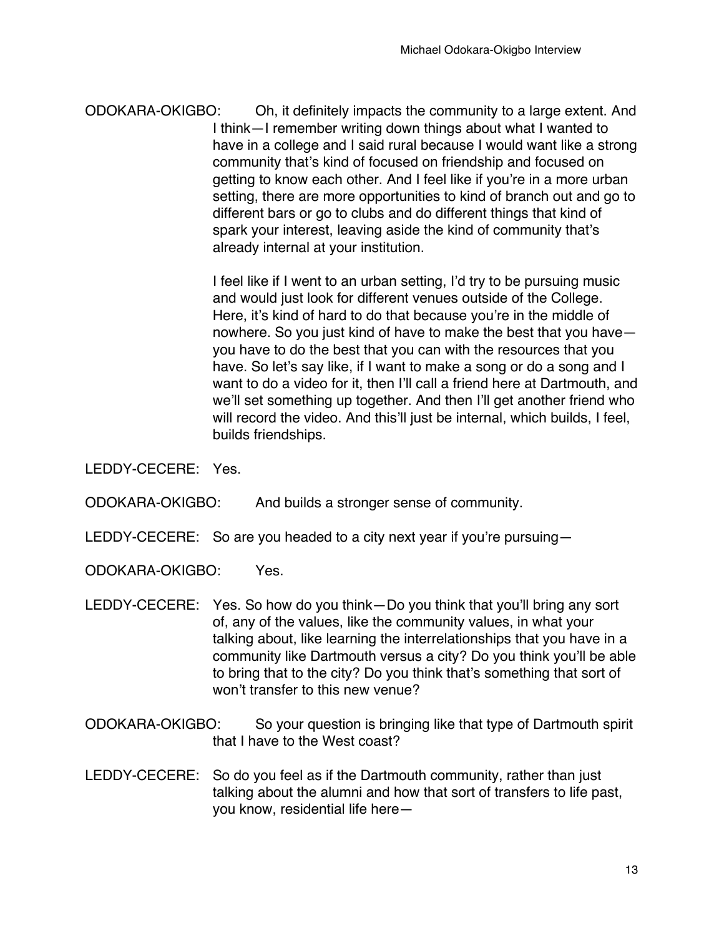ODOKARA-OKIGBO: Oh, it definitely impacts the community to a large extent. And I think—I remember writing down things about what I wanted to have in a college and I said rural because I would want like a strong community that's kind of focused on friendship and focused on getting to know each other. And I feel like if you're in a more urban setting, there are more opportunities to kind of branch out and go to different bars or go to clubs and do different things that kind of spark your interest, leaving aside the kind of community that's already internal at your institution.

> I feel like if I went to an urban setting, I'd try to be pursuing music and would just look for different venues outside of the College. Here, it's kind of hard to do that because you're in the middle of nowhere. So you just kind of have to make the best that you have you have to do the best that you can with the resources that you have. So let's say like, if I want to make a song or do a song and I want to do a video for it, then I'll call a friend here at Dartmouth, and we'll set something up together. And then I'll get another friend who will record the video. And this'll just be internal, which builds, I feel, builds friendships.

LEDDY-CECERE: Yes.

ODOKARA-OKIGBO: And builds a stronger sense of community.

LEDDY-CECERE: So are you headed to a city next year if you're pursuing-

ODOKARA-OKIGBO: Yes.

- LEDDY-CECERE: Yes. So how do you think—Do you think that you'll bring any sort of, any of the values, like the community values, in what your talking about, like learning the interrelationships that you have in a community like Dartmouth versus a city? Do you think you'll be able to bring that to the city? Do you think that's something that sort of won't transfer to this new venue?
- ODOKARA-OKIGBO: So your question is bringing like that type of Dartmouth spirit that I have to the West coast?
- LEDDY-CECERE: So do you feel as if the Dartmouth community, rather than just talking about the alumni and how that sort of transfers to life past, you know, residential life here—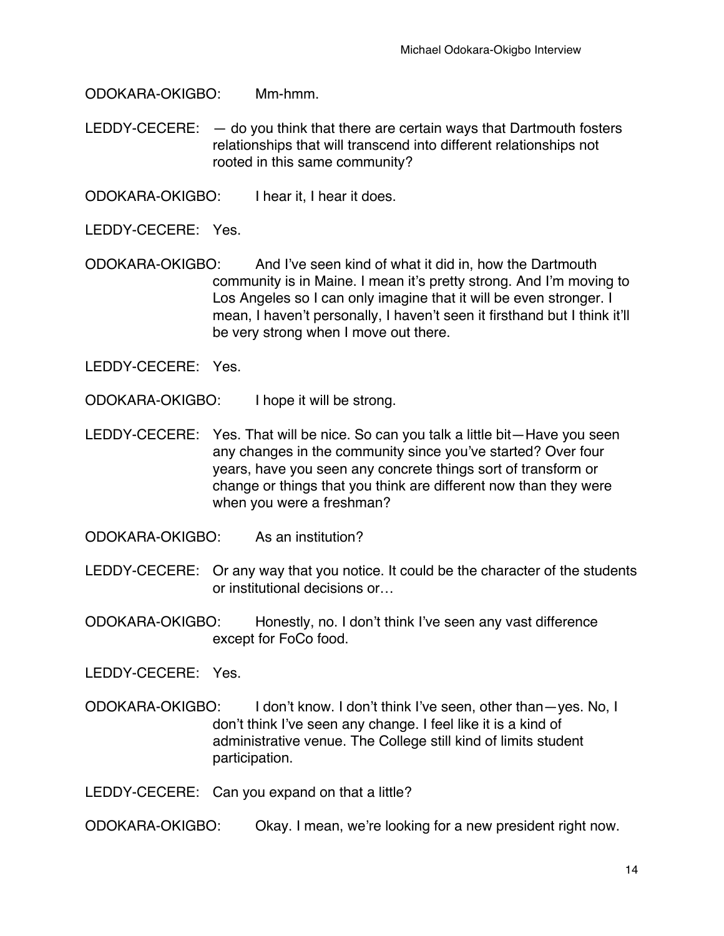ODOKARA-OKIGBO: Mm-hmm.

LEDDY-CECERE: — do you think that there are certain ways that Dartmouth fosters relationships that will transcend into different relationships not rooted in this same community?

ODOKARA-OKIGBO: I hear it, I hear it does.

LEDDY-CECERE: Yes.

ODOKARA-OKIGBO: And I've seen kind of what it did in, how the Dartmouth community is in Maine. I mean it's pretty strong. And I'm moving to Los Angeles so I can only imagine that it will be even stronger. I mean, I haven't personally, I haven't seen it firsthand but I think it'll be very strong when I move out there.

LEDDY-CECERE: Yes.

- ODOKARA-OKIGBO: I hope it will be strong.
- LEDDY-CECERE: Yes. That will be nice. So can you talk a little bit—Have you seen any changes in the community since you've started? Over four years, have you seen any concrete things sort of transform or change or things that you think are different now than they were when you were a freshman?
- ODOKARA-OKIGBO: As an institution?
- LEDDY-CECERE: Or any way that you notice. It could be the character of the students or institutional decisions or…
- ODOKARA-OKIGBO: Honestly, no. I don't think I've seen any vast difference except for FoCo food.

LEDDY-CECERE: Yes.

ODOKARA-OKIGBO: I don't know. I don't think I've seen, other than—yes. No, I don't think I've seen any change. I feel like it is a kind of administrative venue. The College still kind of limits student participation.

LEDDY-CECERE: Can you expand on that a little?

ODOKARA-OKIGBO: Okay. I mean, we're looking for a new president right now.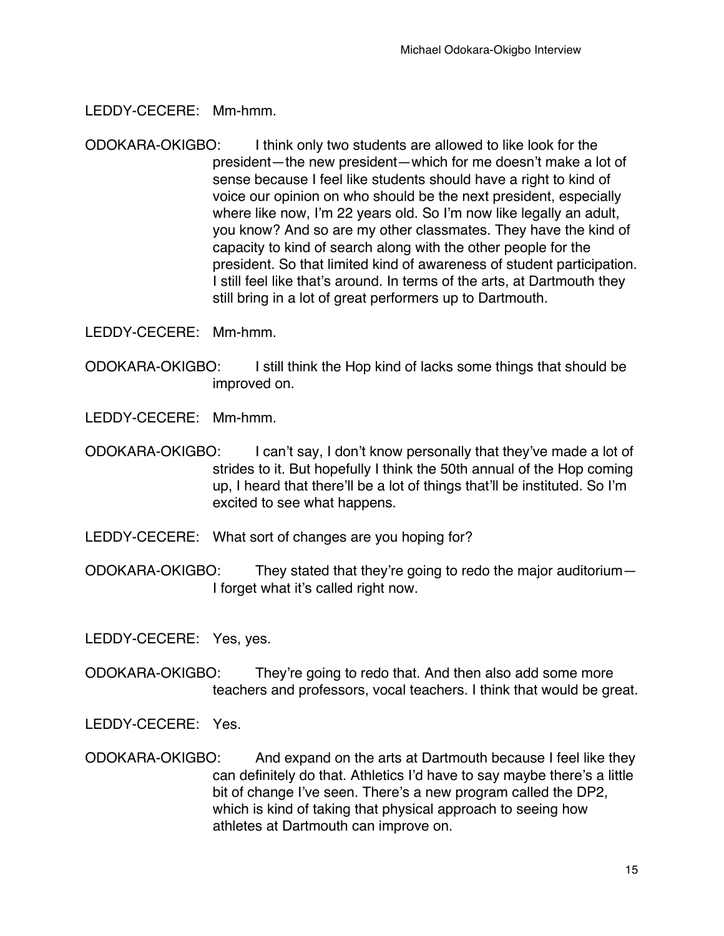LEDDY-CECERE: Mm-hmm.

ODOKARA-OKIGBO: I think only two students are allowed to like look for the president—the new president—which for me doesn't make a lot of sense because I feel like students should have a right to kind of voice our opinion on who should be the next president, especially where like now, I'm 22 years old. So I'm now like legally an adult, you know? And so are my other classmates. They have the kind of capacity to kind of search along with the other people for the president. So that limited kind of awareness of student participation. I still feel like that's around. In terms of the arts, at Dartmouth they still bring in a lot of great performers up to Dartmouth.

LEDDY-CECERE: Mm-hmm.

ODOKARA-OKIGBO: I still think the Hop kind of lacks some things that should be improved on.

LEDDY-CECERE: Mm-hmm.

- ODOKARA-OKIGBO: I can't say, I don't know personally that they've made a lot of strides to it. But hopefully I think the 50th annual of the Hop coming up, I heard that there'll be a lot of things that'll be instituted. So I'm excited to see what happens.
- LEDDY-CECERE: What sort of changes are you hoping for?
- ODOKARA-OKIGBO: They stated that they're going to redo the major auditorium— I forget what it's called right now.

LEDDY-CECERE: Yes, yes.

ODOKARA-OKIGBO: They're going to redo that. And then also add some more teachers and professors, vocal teachers. I think that would be great.

LEDDY-CECERE: Yes.

ODOKARA-OKIGBO: And expand on the arts at Dartmouth because I feel like they can definitely do that. Athletics I'd have to say maybe there's a little bit of change I've seen. There's a new program called the DP2, which is kind of taking that physical approach to seeing how athletes at Dartmouth can improve on.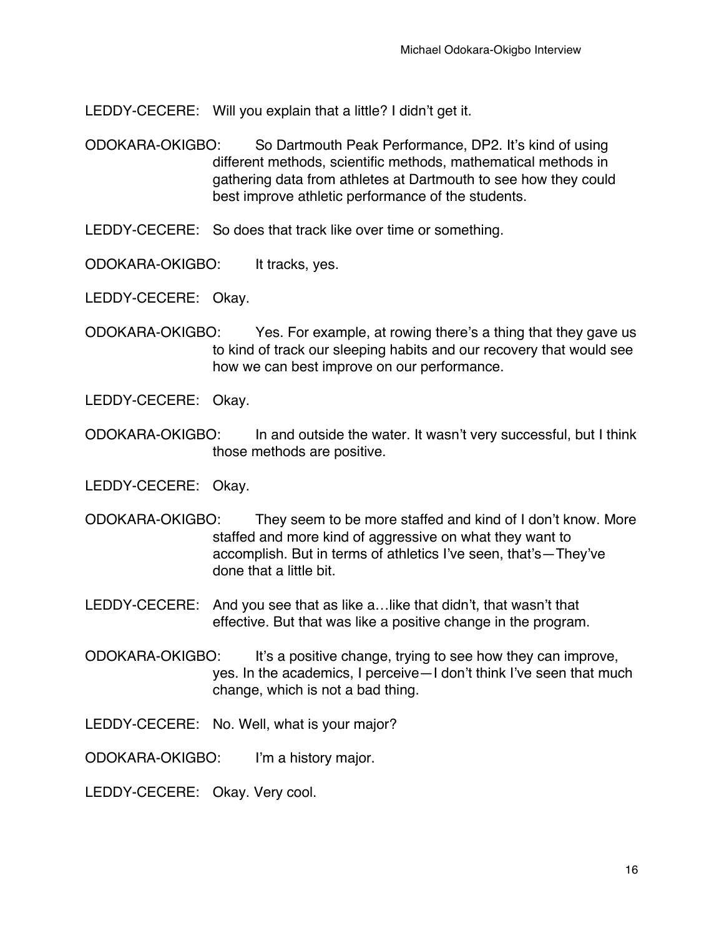LEDDY-CECERE: Will you explain that a little? I didn't get it.

- ODOKARA-OKIGBO: So Dartmouth Peak Performance, DP2. It's kind of using different methods, scientific methods, mathematical methods in gathering data from athletes at Dartmouth to see how they could best improve athletic performance of the students.
- LEDDY-CECERE: So does that track like over time or something.
- ODOKARA-OKIGBO: It tracks, yes.

LEDDY-CECERE: Okay.

- ODOKARA-OKIGBO: Yes. For example, at rowing there's a thing that they gave us to kind of track our sleeping habits and our recovery that would see how we can best improve on our performance.
- LEDDY-CECERE: Okay.
- ODOKARA-OKIGBO: In and outside the water. It wasn't very successful, but I think those methods are positive.

LEDDY-CECERE: Okay.

ODOKARA-OKIGBO: They seem to be more staffed and kind of I don't know. More staffed and more kind of aggressive on what they want to accomplish. But in terms of athletics I've seen, that's—They've done that a little bit.

LEDDY-CECERE: And you see that as like a…like that didn't, that wasn't that effective. But that was like a positive change in the program.

- ODOKARA-OKIGBO: It's a positive change, trying to see how they can improve, yes. In the academics, I perceive—I don't think I've seen that much change, which is not a bad thing.
- LEDDY-CECERE: No. Well, what is your major?

ODOKARA-OKIGBO: I'm a history major.

LEDDY-CECERE: Okay. Very cool.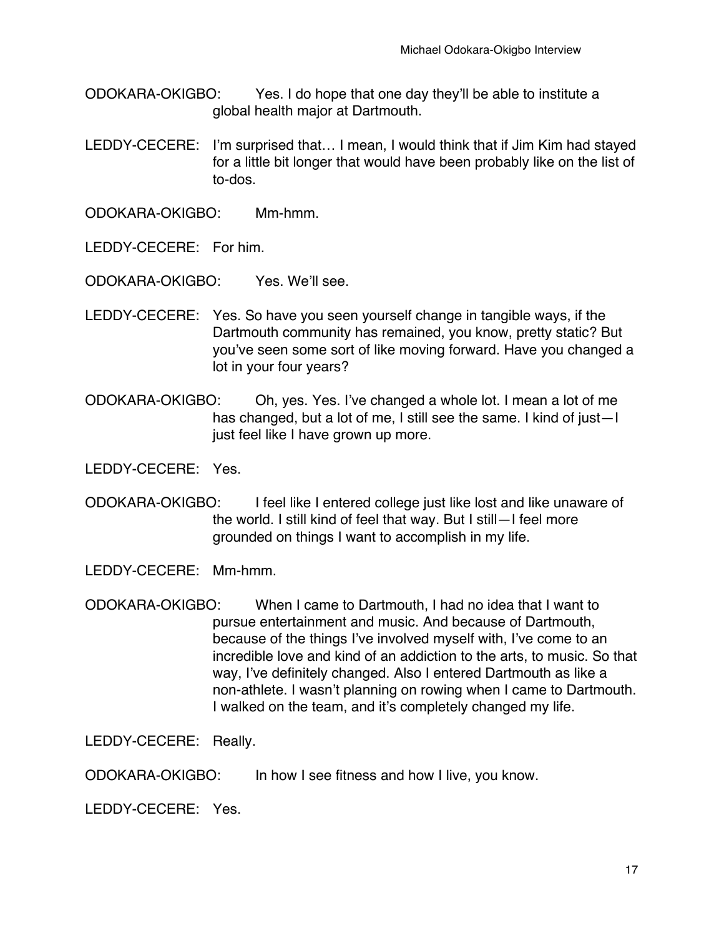- ODOKARA-OKIGBO: Yes. I do hope that one day they'll be able to institute a global health major at Dartmouth.
- LEDDY-CECERE: I'm surprised that… I mean, I would think that if Jim Kim had stayed for a little bit longer that would have been probably like on the list of to-dos.

ODOKARA-OKIGBO: Mm-hmm.

LEDDY-CECERE: For him.

ODOKARA-OKIGBO: Yes. We'll see.

- LEDDY-CECERE: Yes. So have you seen yourself change in tangible ways, if the Dartmouth community has remained, you know, pretty static? But you've seen some sort of like moving forward. Have you changed a lot in your four years?
- ODOKARA-OKIGBO: Oh, yes. Yes. I've changed a whole lot. I mean a lot of me has changed, but a lot of me, I still see the same. I kind of just—I just feel like I have grown up more.

LEDDY-CECERE: Yes.

ODOKARA-OKIGBO: I feel like I entered college just like lost and like unaware of the world. I still kind of feel that way. But I still—I feel more grounded on things I want to accomplish in my life.

LEDDY-CECERE: Mm-hmm.

ODOKARA-OKIGBO: When I came to Dartmouth, I had no idea that I want to pursue entertainment and music. And because of Dartmouth, because of the things I've involved myself with, I've come to an incredible love and kind of an addiction to the arts, to music. So that way, I've definitely changed. Also I entered Dartmouth as like a non-athlete. I wasn't planning on rowing when I came to Dartmouth. I walked on the team, and it's completely changed my life.

LEDDY-CECERE: Really.

ODOKARA-OKIGBO: In how I see fitness and how I live, you know.

LEDDY-CECERE: Yes.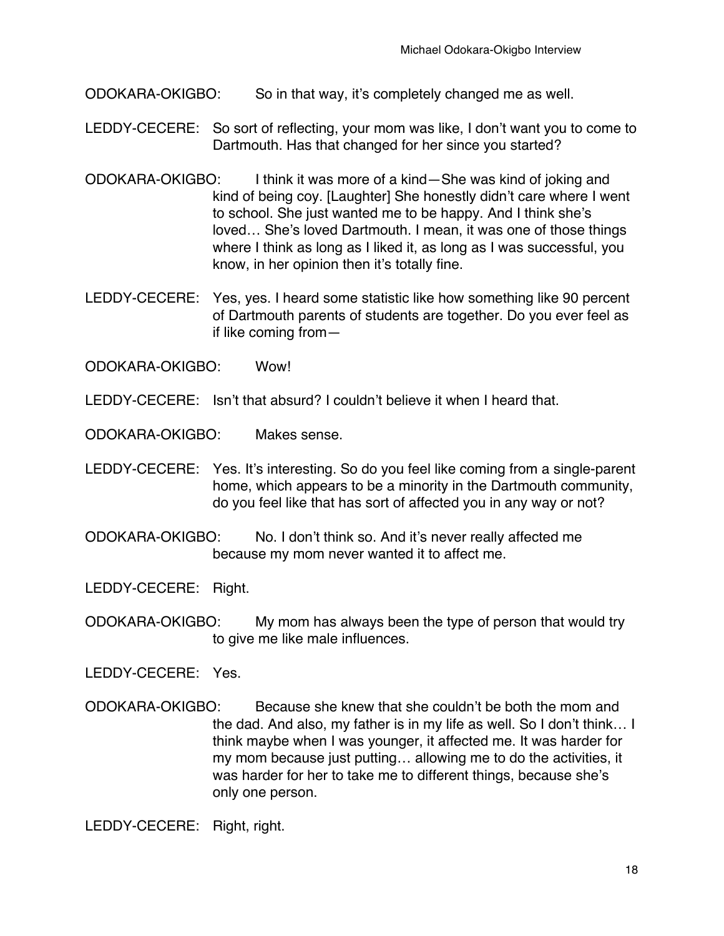ODOKARA-OKIGBO: So in that way, it's completely changed me as well.

- LEDDY-CECERE: So sort of reflecting, your mom was like, I don't want you to come to Dartmouth. Has that changed for her since you started?
- ODOKARA-OKIGBO: I think it was more of a kind—She was kind of joking and kind of being coy. [Laughter] She honestly didn't care where I went to school. She just wanted me to be happy. And I think she's loved… She's loved Dartmouth. I mean, it was one of those things where I think as long as I liked it, as long as I was successful, you know, in her opinion then it's totally fine.
- LEDDY-CECERE: Yes, yes. I heard some statistic like how something like 90 percent of Dartmouth parents of students are together. Do you ever feel as if like coming from—

ODOKARA-OKIGBO: Wow!

LEDDY-CECERE: Isn't that absurd? I couldn't believe it when I heard that.

ODOKARA-OKIGBO: Makes sense.

- LEDDY-CECERE: Yes. It's interesting. So do you feel like coming from a single-parent home, which appears to be a minority in the Dartmouth community, do you feel like that has sort of affected you in any way or not?
- ODOKARA-OKIGBO: No. I don't think so. And it's never really affected me because my mom never wanted it to affect me.

LEDDY-CECERE: Right.

ODOKARA-OKIGBO: My mom has always been the type of person that would try to give me like male influences.

LEDDY-CECERE: Yes.

ODOKARA-OKIGBO: Because she knew that she couldn't be both the mom and the dad. And also, my father is in my life as well. So I don't think… I think maybe when I was younger, it affected me. It was harder for my mom because just putting… allowing me to do the activities, it was harder for her to take me to different things, because she's only one person.

LEDDY-CECERE: Right, right.